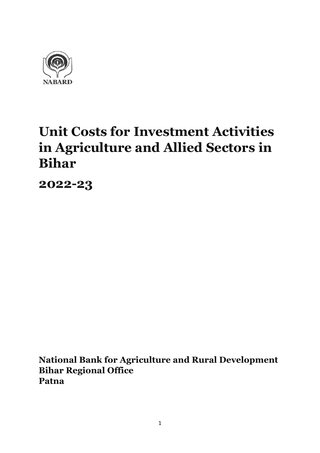

# **Unit Costs for Investment Activities in Agriculture and Allied Sectors in Bihar**

**2022-23**

**National Bank for Agriculture and Rural Development Bihar Regional Office Patna**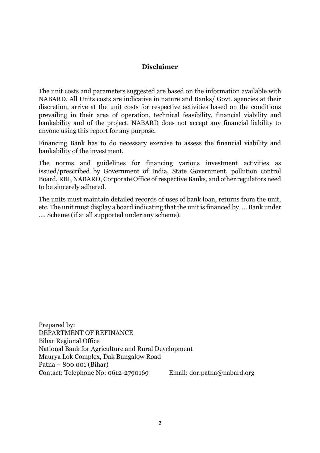#### **Disclaimer**

The unit costs and parameters suggested are based on the information available with NABARD. All Units costs are indicative in nature and Banks/ Govt. agencies at their discretion, arrive at the unit costs for respective activities based on the conditions prevailing in their area of operation, technical feasibility, financial viability and bankability and of the project. NABARD does not accept any financial liability to anyone using this report for any purpose.

Financing Bank has to do necessary exercise to assess the financial viability and bankability of the investment.

The norms and guidelines for financing various investment activities as issued/prescribed by Government of India, State Government, pollution control Board, RBI, NABARD, Corporate Office of respective Banks, and other regulators need to be sincerely adhered.

The units must maintain detailed records of uses of bank loan, returns from the unit, etc. The unit must display a board indicating that the unit is financed by …. Bank under …. Scheme (if at all supported under any scheme).

Prepared by: DEPARTMENT OF REFINANCE Bihar Regional Office National Bank for Agriculture and Rural Development Maurya Lok Complex, Dak Bungalow Road Patna – 800 001 (Bihar) Contact: Telephone No: 0612-2790169 Email: dor.patna@nabard.org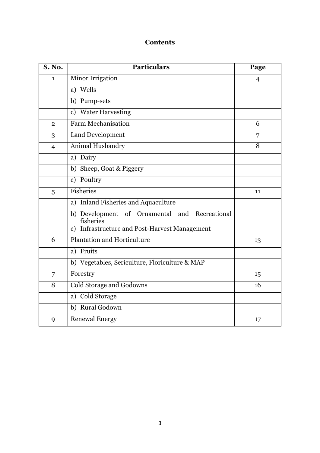## **Contents**

| <b>S. No.</b>  | <b>Particulars</b>                                                 | Page           |
|----------------|--------------------------------------------------------------------|----------------|
| 1              | Minor Irrigation                                                   | $\overline{4}$ |
|                | a) Wells                                                           |                |
|                | b) Pump-sets                                                       |                |
|                | c) Water Harvesting                                                |                |
| $\overline{2}$ | <b>Farm Mechanisation</b>                                          | 6              |
| 3              | Land Development                                                   | 7              |
| $\overline{4}$ | Animal Husbandry                                                   | 8              |
|                | a) Dairy                                                           |                |
|                | b) Sheep, Goat & Piggery                                           |                |
|                | c) Poultry                                                         |                |
| 5              | <b>Fisheries</b>                                                   | 11             |
|                | a) Inland Fisheries and Aquaculture                                |                |
|                | b) Development of Ornamental and Recreational<br>fisheries         |                |
|                | <b>Infrastructure and Post-Harvest Management</b><br>$\mathbf{c})$ |                |
| 6              | <b>Plantation and Horticulture</b>                                 | 13             |
|                | a) Fruits                                                          |                |
|                | b) Vegetables, Sericulture, Floriculture & MAP                     |                |
| 7              | Forestry                                                           | 15             |
| 8              | Cold Storage and Godowns                                           | 16             |
|                | a) Cold Storage                                                    |                |
|                | b) Rural Godown                                                    |                |
| 9              | <b>Renewal Energy</b>                                              | 17             |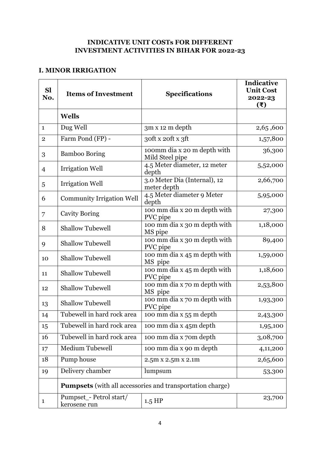#### **INDICATIVE UNIT COSTs FOR DIFFERENT INVESTMENT ACTIVITIES IN BIHAR FOR 2022-23**

#### **I. MINOR IRRIGATION**

| <b>Sl</b><br>No. | <b>Items of Investment</b>                                       | <b>Specifications</b>                          | <b>Indicative</b><br><b>Unit Cost</b><br>2022-23<br>(₹) |
|------------------|------------------------------------------------------------------|------------------------------------------------|---------------------------------------------------------|
|                  | <b>Wells</b>                                                     |                                                |                                                         |
| $\mathbf{1}$     | Dug Well                                                         | 3m x 12 m depth                                | 2,65,600                                                |
| $\overline{2}$   | Farm Pond (FP) -                                                 | 30ft x 20ft x 3ft                              | 1,57,800                                                |
| 3                | <b>Bamboo Boring</b>                                             | 100mm dia x 20 m depth with<br>Mild Steel pipe | 36,300                                                  |
| $\overline{4}$   | <b>Irrigation Well</b>                                           | 4.5 Meter diameter, 12 meter<br>depth          | 5,52,000                                                |
| 5                | <b>Irrigation Well</b>                                           | 3.0 Meter Dia (Internal), 12<br>meter depth    | 2,66,700                                                |
| 6                | <b>Community Irrigation Well</b>                                 | 4.5 Meter diameter 9 Meter<br>depth            | 5,95,000                                                |
| 7                | <b>Cavity Boring</b>                                             | 100 mm dia x 20 m depth with<br>PVC pipe       | 27,300                                                  |
| 8                | <b>Shallow Tubewell</b>                                          | 100 mm dia x 30 m depth with<br>MS pipe        | 1,18,000                                                |
| 9                | <b>Shallow Tubewell</b>                                          | 100 mm dia x 30 m depth with<br>PVC pipe       | 89,400                                                  |
| 10               | <b>Shallow Tubewell</b>                                          | 100 mm dia x 45 m depth with<br>MS pipe        | 1,59,000                                                |
| 11               | <b>Shallow Tubewell</b>                                          | 100 mm dia x 45 m depth with<br>PVC pipe       | 1,18,600                                                |
| 12               | <b>Shallow Tubewell</b>                                          | 100 mm dia x 70 m depth with<br>MS pipe        | 2,53,800                                                |
| 13               | <b>Shallow Tubewell</b>                                          | 100 mm dia x 70 m depth with<br>PVC pipe       | 1,93,300                                                |
| 14               | Tubewell in hard rock area                                       | 100 mm dia x 55 m depth                        | 2,43,300                                                |
| 15               | Tubewell in hard rock area                                       | 100 mm dia x 45m depth                         | 1,95,100                                                |
| 16               | Tubewell in hard rock area                                       | 100 mm dia x 70m depth                         | 3,08,700                                                |
| 17               | Medium Tubewell                                                  | 100 mm dia x 90 m depth                        | 4,11,200                                                |
| 18               | Pump house                                                       | 2.5m x 2.5m x 2.1m                             | 2,65,600                                                |
| 19               | Delivery chamber                                                 | lumpsum                                        | 53,300                                                  |
|                  | <b>Pumpsets</b> (with all accessories and transportation charge) |                                                |                                                         |
| $\mathbf{1}$     | Pumpset_- Petrol start/<br>kerosene run                          | $1.5$ HP                                       | 23,700                                                  |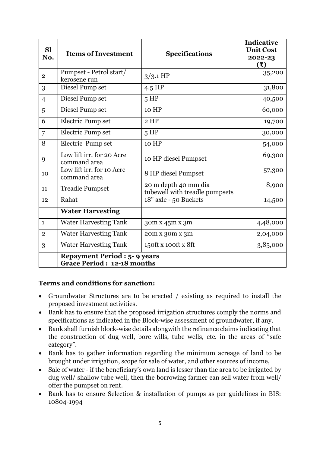| <b>Sl</b><br>No.                                                         | <b>Items of Investment</b>                | <b>Specifications</b>                                  | <b>Indicative</b><br><b>Unit Cost</b><br>2022-23<br>(3) |
|--------------------------------------------------------------------------|-------------------------------------------|--------------------------------------------------------|---------------------------------------------------------|
| $\overline{2}$                                                           | Pumpset - Petrol start/<br>kerosene run   | $3/3.1$ HP                                             | 35,200                                                  |
| 3                                                                        | Diesel Pump set                           | $4.5$ HP                                               | 31,800                                                  |
| $\overline{4}$                                                           | Diesel Pump set                           | 5 HP                                                   | 40,500                                                  |
| 5                                                                        | Diesel Pump set                           | 10 HP                                                  | 60,000                                                  |
| 6                                                                        | Electric Pump set                         | $2$ HP                                                 | 19,700                                                  |
| 7                                                                        | Electric Pump set                         | 5 HP                                                   | 30,000                                                  |
| 8                                                                        | Electric Pump set                         | 10 HP                                                  | 54,000                                                  |
| 9                                                                        | Low lift irr. for 20 Acre<br>command area | 10 HP diesel Pumpset                                   | 69,300                                                  |
| 10                                                                       | Low lift irr. for 10 Acre<br>command area | 8 HP diesel Pumpset                                    | 57,300                                                  |
| 11                                                                       | <b>Treadle Pumpset</b>                    | 20 m depth 40 mm dia<br>tubewell with treadle pumpsets | 8,900                                                   |
| 12                                                                       | Rahat                                     | 18" axle - 50 Buckets                                  | 14,500                                                  |
|                                                                          | <b>Water Harvesting</b>                   |                                                        |                                                         |
| $\mathbf{1}$                                                             | <b>Water Harvesting Tank</b>              | 30m x 45m x 3m                                         | 4,48,000                                                |
| $\overline{2}$                                                           | <b>Water Harvesting Tank</b>              | 20m x 30m x 3m                                         | 2,04,000                                                |
| 3                                                                        | <b>Water Harvesting Tank</b>              | 150ft x 100ft x 8ft                                    | 3,85,000                                                |
| <b>Repayment Period : 5-9 years</b><br><b>Grace Period: 12-18 months</b> |                                           |                                                        |                                                         |

#### **Terms and conditions for sanction:**

- Groundwater Structures are to be erected / existing as required to install the proposed investment activities.
- Bank has to ensure that the proposed irrigation structures comply the norms and specifications as indicated in the Block-wise assessment of groundwater, if any.
- Bank shall furnish block-wise details alongwith the refinance claims indicating that the construction of dug well, bore wills, tube wells, etc. in the areas of "safe category".
- Bank has to gather information regarding the minimum acreage of land to be brought under irrigation, scope for sale of water, and other sources of income,
- Sale of water if the beneficiary's own land is lesser than the area to be irrigated by dug well/ shallow tube well, then the borrowing farmer can sell water from well/ offer the pumpset on rent.
- Bank has to ensure Selection & installation of pumps as per guidelines in BIS: 10804-1994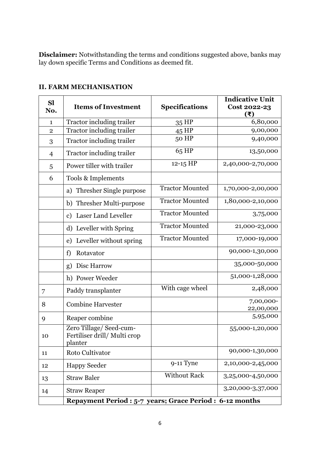**Disclaimer:** Notwithstanding the terms and conditions suggested above, banks may lay down specific Terms and Conditions as deemed fit.

| <b>Sl</b><br>No. | <b>Items of Investment</b>                                        | <b>Specifications</b>  | <b>Indicative Unit</b><br>Cost 2022-23<br>(₹) |
|------------------|-------------------------------------------------------------------|------------------------|-----------------------------------------------|
| $\mathbf{1}$     | Tractor including trailer                                         | 35 HP                  | 6,80,000                                      |
| $\overline{2}$   | Tractor including trailer                                         | $45$ HP                | 9,00,000                                      |
| 3                | <b>Tractor including trailer</b>                                  | 50 HP                  | 9,40,000                                      |
| $\overline{4}$   | <b>Tractor including trailer</b>                                  | 65 HP                  | 13,50,000                                     |
| 5                | Power tiller with trailer                                         | 12-15 HP               | 2,40,000-2,70,000                             |
| 6                | Tools & Implements                                                |                        |                                               |
|                  | Thresher Single purpose<br>a)                                     | <b>Tractor Mounted</b> | 1,70,000-2,00,000                             |
|                  | b) Thresher Multi-purpose                                         | <b>Tractor Mounted</b> | 1,80,000-2,10,000                             |
|                  | <b>Laser Land Leveller</b><br>$\mathbf{c})$                       | <b>Tractor Mounted</b> | 3,75,000                                      |
|                  | d) Leveller with Spring                                           | <b>Tractor Mounted</b> | 21,000-23,000                                 |
|                  | Leveller without spring<br>e)                                     | <b>Tractor Mounted</b> | 17,000-19,000                                 |
|                  | Rotavator<br>f)                                                   |                        | 90,000-1,30,000                               |
|                  | Disc Harrow<br>g)                                                 |                        | 35,000-50,000                                 |
|                  | h) Power Weeder                                                   |                        | 51,000-1,28,000                               |
| 7                | Paddy transplanter                                                | With cage wheel        | 2,48,000                                      |
| 8                | <b>Combine Harvester</b>                                          |                        | 7,00,000-<br>22,00,000                        |
| 9                | Reaper combine                                                    |                        | 5,95,000                                      |
| 10               | Zero Tillage/ Seed-cum-<br>Fertiliser drill/Multi crop<br>planter |                        | 55,000-1,20,000                               |
| 11               | Roto Cultivator                                                   |                        | 90,000-1,30,000                               |
| 12               | <b>Happy Seeder</b>                                               | $9-11$ Tyne            | 2,10,000-2,45,000                             |
| 13               | <b>Straw Baler</b>                                                | <b>Without Rack</b>    | 3,25,000-4,50,000                             |
| 14               | <b>Straw Reaper</b>                                               |                        | 3,20,000-3,37,000                             |
|                  | Repayment Period : 5-7 years; Grace Period : 6-12 months          |                        |                                               |

## **II. FARM MECHANISATION**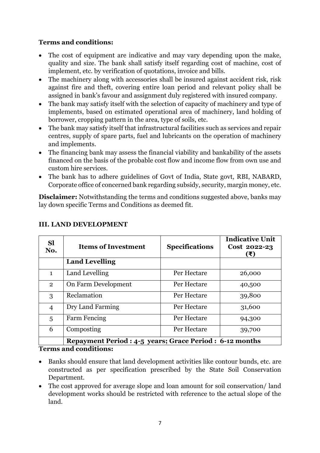- The cost of equipment are indicative and may vary depending upon the make, quality and size. The bank shall satisfy itself regarding cost of machine, cost of implement, etc. by verification of quotations, invoice and bills.
- The machinery along with accessories shall be insured against accident risk, risk against fire and theft, covering entire loan period and relevant policy shall be assigned in bank's favour and assignment duly registered with insured company.
- The bank may satisfy itself with the selection of capacity of machinery and type of implements, based on estimated operational area of machinery, land holding of borrower, cropping pattern in the area, type of soils, etc.
- The bank may satisfy itself that infrastructural facilities such as services and repair centres, supply of spare parts, fuel and lubricants on the operation of machinery and implements.
- The financing bank may assess the financial viability and bankability of the assets financed on the basis of the probable cost flow and income flow from own use and custom hire services.
- The bank has to adhere guidelines of Govt of India, State govt, RBI, NABARD, Corporate office of concerned bank regarding subsidy, security, margin money, etc.

**Disclaimer:** Notwithstanding the terms and conditions suggested above, banks may lay down specific Terms and Conditions as deemed fit.

| <b>Sl</b><br>No. | <b>Items of Investment</b>                               | <b>Specifications</b> | <b>Indicative Unit</b><br>Cost 2022-23<br>(₹) |
|------------------|----------------------------------------------------------|-----------------------|-----------------------------------------------|
|                  | <b>Land Levelling</b>                                    |                       |                                               |
| $\mathbf{1}$     | Land Levelling                                           | Per Hectare           | 26,000                                        |
| $\overline{2}$   | On Farm Development                                      | Per Hectare           | 40,500                                        |
| 3                | Reclamation                                              | Per Hectare           | 39,800                                        |
| $\overline{4}$   | Dry Land Farming                                         | Per Hectare           | 31,600                                        |
| 5                | <b>Farm Fencing</b>                                      | Per Hectare           | 94,300                                        |
| 6                | Composting                                               | Per Hectare           | 39,700                                        |
|                  | Repayment Period : 4-5 years; Grace Period : 6-12 months |                       |                                               |

# **III. LAND DEVELOPMENT**

**Terms and conditions:**

- Banks should ensure that land development activities like contour bunds, etc. are constructed as per specification prescribed by the State Soil Conservation Department.
- The cost approved for average slope and loan amount for soil conservation/land development works should be restricted with reference to the actual slope of the land.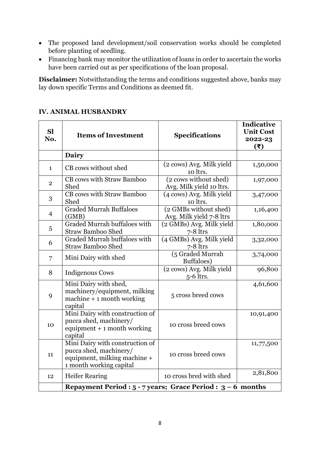- The proposed land development/soil conservation works should be completed before planting of seedling.
- Financing bank may monitor the utilization of loans in order to ascertain the works have been carried out as per specifications of the loan proposal.

**Disclaimer:** Notwithstanding the terms and conditions suggested above, banks may lay down specific Terms and Conditions as deemed fit.

| <b>Sl</b><br>No. | <b>Items of Investment</b>                                                                                           | <b>Specifications</b>                             | <b>Indicative</b><br><b>Unit Cost</b><br>2022-23<br>(3) |
|------------------|----------------------------------------------------------------------------------------------------------------------|---------------------------------------------------|---------------------------------------------------------|
|                  | Dairy                                                                                                                |                                                   |                                                         |
| $\mathbf{1}$     | CB cows without shed                                                                                                 | (2 cows) Avg. Milk yield<br>10 ltrs.              | 1,50,000                                                |
| $\overline{2}$   | CB cows with Straw Bamboo<br>Shed                                                                                    | (2 cows without shed)<br>Avg. Milk yield 10 ltrs. | 1,97,000                                                |
| 3                | <b>CB</b> cows with Straw Bamboo<br>Shed                                                                             | (4 cows) Avg. Milk yield<br>10 ltrs.              | 3,47,000                                                |
| $\overline{4}$   | <b>Graded Murrah Buffaloes</b><br>(GMB)                                                                              | (2 GMBs without shed)<br>Avg. Milk yield 7-8 ltrs | 1,16,400                                                |
| $\overline{5}$   | <b>Graded Murrah buffaloes with</b><br><b>Straw Bamboo Shed</b>                                                      | (2 GMBs) Avg. Milk yield<br>$7-8$ ltrs            | 1,80,000                                                |
| 6                | Graded Murrah buffaloes with<br><b>Straw Bamboo Shed</b>                                                             | (4 GMBs) Avg. Milk yield<br>$7-8$ ltrs            | 3,32,000                                                |
| 7                | Mini Dairy with shed                                                                                                 | (5 Graded Murrah<br>Buffaloes)                    | 3,74,000                                                |
| 8                | <b>Indigenous Cows</b>                                                                                               | (2 cows) Avg. Milk yield<br>$5-6$ ltrs.           | 96,800                                                  |
| 9                | Mini Dairy with shed,<br>machinery/equipment, milking<br>$machine + 1 month working$<br>capital                      | 5 cross breed cows                                | 4,61,600                                                |
| 10               | Mini Dairy with construction of<br>pucca shed, machinery/<br>equipment $+1$ month working<br>capital                 | 10 cross breed cows                               | 10,91,400                                               |
| 11               | Mini Dairy with construction of<br>pucca shed, machinery/<br>equipment, milking machine +<br>1 month working capital | 10 cross breed cows                               | 11,77,500                                               |
| 12               | <b>Heifer Rearing</b>                                                                                                | 10 cross bred with shed                           | 2,81,800                                                |
|                  | Repayment Period : $5 - 7$ years; Grace Period : $3 - 6$ months                                                      |                                                   |                                                         |

#### **IV. ANIMAL HUSBANDRY**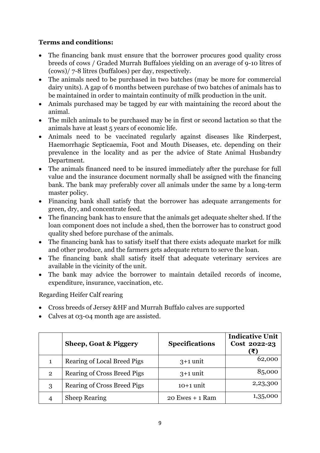- The financing bank must ensure that the borrower procures good quality cross breeds of cows / Graded Murrah Buffaloes yielding on an average of 9-10 litres of (cows)/ 7-8 litres (buffaloes) per day, respectively.
- The animals need to be purchased in two batches (may be more for commercial dairy units). A gap of 6 months between purchase of two batches of animals has to be maintained in order to maintain continuity of milk production in the unit.
- Animals purchased may be tagged by ear with maintaining the record about the animal.
- The milch animals to be purchased may be in first or second lactation so that the animals have at least 5 years of economic life.
- Animals need to be vaccinated regularly against diseases like Rinderpest, Haemorrhagic Septicaemia, Foot and Mouth Diseases, etc. depending on their prevalence in the locality and as per the advice of State Animal Husbandry Department.
- The animals financed need to be insured immediately after the purchase for full value and the insurance document normally shall be assigned with the financing bank. The bank may preferably cover all animals under the same by a long-term master policy.
- Financing bank shall satisfy that the borrower has adequate arrangements for green, dry, and concentrate feed.
- The financing bank has to ensure that the animals get adequate shelter shed. If the loan component does not include a shed, then the borrower has to construct good quality shed before purchase of the animals.
- The financing bank has to satisfy itself that there exists adequate market for milk and other produce, and the farmers gets adequate return to serve the loan.
- The financing bank shall satisfy itself that adequate veterinary services are available in the vicinity of the unit.
- The bank may advice the borrower to maintain detailed records of income, expenditure, insurance, vaccination, etc.

Regarding Heifer Calf rearing

- Cross breeds of Jersey &HF and Murrah Buffalo calves are supported
- Calves at 03-04 month age are assisted.

|                | <b>Sheep, Goat &amp; Piggery</b>   | <b>Specifications</b> | <b>Indicative Unit</b><br>Cost 2022-23<br>(₹) |
|----------------|------------------------------------|-----------------------|-----------------------------------------------|
| 1              | Rearing of Local Breed Pigs        | $3+1$ unit            | 62,000                                        |
| $\overline{2}$ | <b>Rearing of Cross Breed Pigs</b> | $3+1$ unit            | 85,000                                        |
| 3              | <b>Rearing of Cross Breed Pigs</b> | $10+1$ unit           | 2,23,300                                      |
|                | <b>Sheep Rearing</b>               | $20$ Ewes $+1$ Ram    | 1,35,000                                      |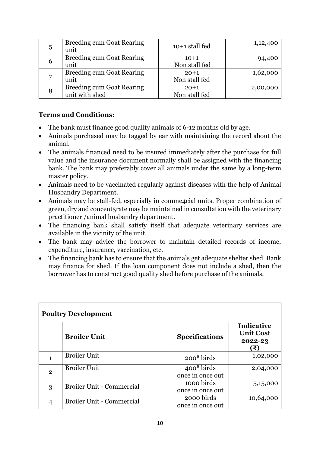| 5 | <b>Breeding cum Goat Rearing</b><br>unit           | $10+1$ stall fed        | 1,12,400 |
|---|----------------------------------------------------|-------------------------|----------|
| b | <b>Breeding cum Goat Rearing</b><br>unit           | $10+1$<br>Non stall fed | 94,400   |
| ⇁ | <b>Breeding cum Goat Rearing</b><br>unit           | $20+1$<br>Non stall fed | 1,62,000 |
| 8 | <b>Breeding cum Goat Rearing</b><br>unit with shed | $20+1$<br>Non stall fed | 2,00,000 |

- The bank must finance good quality animals of 6-12 months old by age.
- Animals purchased may be tagged by ear with maintaining the record about the animal.
- The animals financed need to be insured immediately after the purchase for full value and the insurance document normally shall be assigned with the financing bank. The bank may preferably cover all animals under the same by a long-term master policy.
- Animals need to be vaccinated regularly against diseases with the help of Animal Husbandry Department.
- Animals may be stall-fed, especially in comme4cial units. Proper combination of green, dry and concent5rate may be maintained in consultation with the veterinary practitioner /animal husbandry department.
- The financing bank shall satisfy itself that adequate veterinary services are available in the vicinity of the unit.
- The bank may advice the borrower to maintain detailed records of income, expenditure, insurance, vaccination, etc.
- The financing bank has to ensure that the animals get adequate shelter shed. Bank may finance for shed. If the loan component does not include a shed, then the borrower has to construct good quality shed before purchase of the animals.

| <b>Poultry Development</b> |                                  |                                  |                                                         |
|----------------------------|----------------------------------|----------------------------------|---------------------------------------------------------|
|                            | <b>Broiler Unit</b>              | <b>Specifications</b>            | <b>Indicative</b><br><b>Unit Cost</b><br>2022-23<br>(₹) |
|                            | <b>Broiler Unit</b>              | $200*$ birds                     | 1,02,000                                                |
| $\overline{2}$             | <b>Broiler Unit</b>              | $400*$ birds<br>once in once out | 2,04,000                                                |
| 3                          | <b>Broiler Unit - Commercial</b> | 1000 birds<br>once in once out   | 5,15,000                                                |
|                            | <b>Broiler Unit - Commercial</b> | 2000 birds<br>once in once out   | 10,64,000                                               |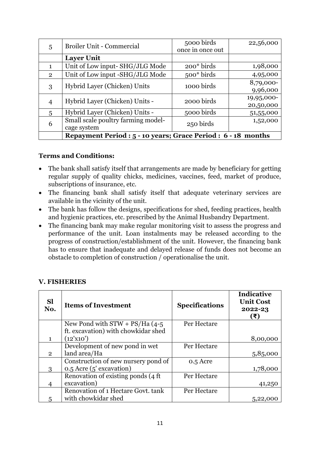| 5              | <b>Broiler Unit - Commercial</b>                              | 5000 birds       | 22,56,000  |
|----------------|---------------------------------------------------------------|------------------|------------|
|                |                                                               | once in once out |            |
|                | <b>Layer Unit</b>                                             |                  |            |
| 1              | Unit of Low input-SHG/JLG Mode                                | 200* birds       | 1,98,000   |
| $\overline{2}$ | Unit of Low input -SHG/JLG Mode                               | $500*$ birds     | 4,95,000   |
| 3              | Hybrid Layer (Chicken) Units                                  | 1000 birds       | 8,79,000-  |
|                |                                                               |                  | 9,96,000   |
| 4              | Hybrid Layer (Chicken) Units -                                | 2000 birds       | 19,95,000- |
|                |                                                               |                  | 20,50,000  |
| 5              | Hybrid Layer (Chicken) Units -                                | 5000 birds       | 51,55,000  |
| 6              | Small scale poultry farming model-                            | 250 birds        | 1,52,000   |
|                | cage system                                                   |                  |            |
|                | Repayment Period : 5 - 10 years; Grace Period : 6 - 18 months |                  |            |

- The bank shall satisfy itself that arrangements are made by beneficiary for getting regular supply of quality chicks, medicines, vaccines, feed, market of produce, subscriptions of insurance, etc.
- The financing bank shall satisfy itself that adequate veterinary services are available in the vicinity of the unit.
- The bank has follow the designs, specifications for shed, feeding practices, health and hygienic practices, etc. prescribed by the Animal Husbandry Department.
- The financing bank may make regular monitoring visit to assess the progress and performance of the unit. Loan instalments may be released according to the progress of construction/establishment of the unit. However, the financing bank has to ensure that inadequate and delayed release of funds does not become an obstacle to completion of construction / operationalise the unit.

| <b>Sl</b><br>No. | <b>Items of Investment</b>          | <b>Specifications</b> | <b>Indicative</b><br><b>Unit Cost</b><br>2022-23<br>$(\bar{\mathbf{t}})$ |
|------------------|-------------------------------------|-----------------------|--------------------------------------------------------------------------|
|                  | New Pond with $STW + PS/Ha$ (4-5    | Per Hectare           |                                                                          |
|                  | ft. excavation) with chowkidar shed |                       |                                                                          |
|                  | (12'x10')                           |                       | 8,00,000                                                                 |
|                  | Development of new pond in wet      | Per Hectare           |                                                                          |
| $\overline{2}$   | land area/Ha                        |                       | 5,85,000                                                                 |
|                  | Construction of new nursery pond of | 0.5 Acre              |                                                                          |
| 3                | 0.5 Acre (5' excavation)            |                       | 1,78,000                                                                 |
|                  | Renovation of existing ponds (4 ft) | Per Hectare           |                                                                          |
|                  | excavation)                         |                       | 41,250                                                                   |
|                  | Renovation of 1 Hectare Govt. tank  | Per Hectare           |                                                                          |
| 5                | with chowkidar shed                 |                       | 5,22,000                                                                 |

#### **V. FISHERIES**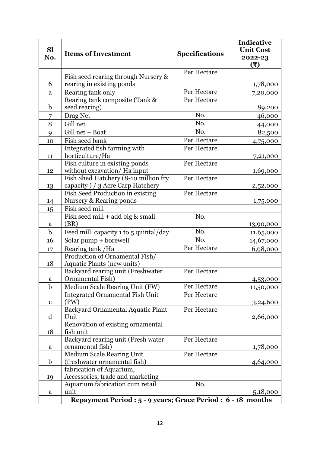| <b>Sl</b><br>No. | <b>Items of Investment</b>                                       | <b>Specifications</b> | <b>Indicative</b><br><b>Unit Cost</b><br>2022-23 |
|------------------|------------------------------------------------------------------|-----------------------|--------------------------------------------------|
|                  |                                                                  |                       | (5)                                              |
|                  |                                                                  | Per Hectare           |                                                  |
| 6                | Fish seed rearing through Nursery &<br>rearing in existing ponds |                       | 1,78,000                                         |
| a                | Rearing tank only                                                | Per Hectare           | 7,20,000                                         |
|                  | Rearing tank composite (Tank &                                   | Per Hectare           |                                                  |
| $\mathbf b$      | seed rearing)                                                    |                       | 89,200                                           |
| 7                | Drag Net                                                         | No.                   | 46,000                                           |
| 8                | Gill net                                                         | No.                   | 44,000                                           |
| 9                | Gill net + Boat                                                  | No.                   | 82,500                                           |
| 10               | Fish seed bank                                                   | Per Hectare           | 4,75,000                                         |
|                  | Integrated fish farming with                                     | Per Hectare           |                                                  |
| 11               | horticulture/Ha                                                  |                       | 7,21,000                                         |
|                  | Fish culture in existing ponds                                   | Per Hectare           |                                                  |
| 12               | without excavation/Ha input                                      |                       | 1,69,000                                         |
|                  | Fish Shed Hatchery (8-10 million fry                             | Per Hectare           |                                                  |
| 13               | capacity ) / 3 Acre Carp Hatchery                                |                       | 2,52,000                                         |
|                  | Fish Seed Production in existing                                 | Per Hectare           |                                                  |
| 14               | Nursery & Rearing ponds<br>Fish seed mill                        |                       | 1,75,000                                         |
| 15               | Fish seed mill + add big & small                                 | No.                   |                                                  |
| $\mathbf a$      | (BR)                                                             |                       | 13,90,000                                        |
| $\mathbf b$      | Feed mill capacity 1 to 5 quintal/day                            | No.                   | 11,65,000                                        |
| 16               | Solar pump + borewell                                            | No.                   | 14,67,000                                        |
| 17               | Rearing tank / Ha                                                | Per Hectare           | 6,98,000                                         |
|                  | Production of Ornamental Fish/                                   |                       |                                                  |
| 18               | Aquatic Plants (new units)                                       |                       |                                                  |
|                  | Backyard rearing unit (Freshwater                                | Per Hectare           |                                                  |
| $\rm{a}$         | Ornamental Fish)                                                 |                       | 4,53,000                                         |
| $\mathbf b$      | Medium Scale Rearing Unit (FW)                                   | Per Hectare           | 11,50,000                                        |
|                  | <b>Integrated Ornamental Fish Unit</b>                           | Per Hectare           |                                                  |
| $\mathbf c$      | (FW)                                                             |                       | 3,24,600                                         |
|                  | Backyard Ornamental Aquatic Plant                                | Per Hectare           |                                                  |
| $\mathbf d$      | Unit<br>Renovation of existing ornamental                        |                       | 2,66,000                                         |
| 18               | fish unit                                                        |                       |                                                  |
|                  | Backyard rearing unit (Fresh water                               | Per Hectare           |                                                  |
| a                | ornamental fish)                                                 |                       | 1,78,000                                         |
|                  | Medium Scale Rearing Unit                                        | Per Hectare           |                                                  |
| $\mathbf b$      | (freshwater ornamental fish)                                     |                       | 4,64,000                                         |
|                  | fabrication of Aquarium,                                         |                       |                                                  |
| 19               | Accessories, trade and marketing                                 |                       |                                                  |
|                  | Aquarium fabrication cum retail                                  | No.                   |                                                  |
| $\mathbf a$      | unit                                                             |                       | 5,18,000                                         |
|                  | Repayment Period : 5 - 9 years; Grace Period : 6 - 18 months     |                       |                                                  |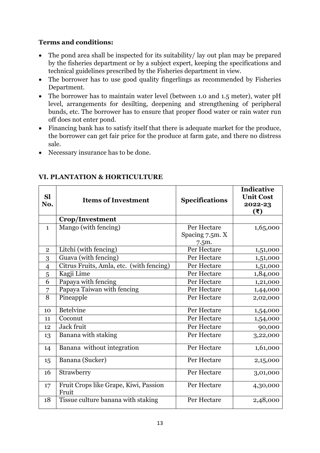- The pond area shall be inspected for its suitability/ lay out plan may be prepared by the fisheries department or by a subject expert, keeping the specifications and technical guidelines prescribed by the Fisheries department in view.
- The borrower has to use good quality fingerlings as recommended by Fisheries Department.
- The borrower has to maintain water level (between 1.0 and 1.5 meter), water pH level, arrangements for desilting, deepening and strengthening of peripheral bunds, etc. The borrower has to ensure that proper flood water or rain water run off does not enter pond.
- Financing bank has to satisfy itself that there is adequate market for the produce, the borrower can get fair price for the produce at farm gate, and there no distress sale.
- Necessary insurance has to be done.

| <b>Sl</b><br>No. | <b>Items of Investment</b>                     | <b>Specifications</b> | <b>Indicative</b><br><b>Unit Cost</b><br>2022-23<br>$(\bar{\mathbf{t}})$ |
|------------------|------------------------------------------------|-----------------------|--------------------------------------------------------------------------|
|                  | <b>Crop/Investment</b>                         |                       |                                                                          |
| $\mathbf{1}$     | Mango (with fencing)                           | Per Hectare           | 1,65,000                                                                 |
|                  |                                                | Spacing 7.5m. X       |                                                                          |
|                  |                                                | 7.5m.                 |                                                                          |
| $\mathbf{2}$     | Litchi (with fencing)                          | Per Hectare           | 1,51,000                                                                 |
| 3                | Guava (with fencing)                           | Per Hectare           | 1,51,000                                                                 |
| $\overline{4}$   | Citrus Fruits, Amla, etc. (with fencing)       | Per Hectare           | 1,51,000                                                                 |
| 5                | Kagji Lime                                     | Per Hectare           | 1,84,000                                                                 |
| 6                | Papaya with fencing                            | Per Hectare           | 1,21,000                                                                 |
| 7                | Papaya Taiwan with fencing                     | Per Hectare           | 1,44,000                                                                 |
| $\overline{8}$   | Pineapple                                      | Per Hectare           | 2,02,000                                                                 |
| 10               | <b>Betelvine</b>                               | Per Hectare           | 1,54,000                                                                 |
| 11               | Coconut                                        | Per Hectare           | 1,54,000                                                                 |
| 12               | Jack fruit                                     | Per Hectare           | 90,000                                                                   |
| 13               | Banana with staking                            | Per Hectare           | 3,22,000                                                                 |
| 14               | Banana without integration                     | Per Hectare           | 1,61,000                                                                 |
| 15               | Banana (Sucker)                                | Per Hectare           | 2,15,000                                                                 |
| 16               | Strawberry                                     | Per Hectare           | 3,01,000                                                                 |
| 17               | Fruit Crops like Grape, Kiwi, Passion<br>Fruit | Per Hectare           | 4,30,000                                                                 |
| 18               | Tissue culture banana with staking             | Per Hectare           | 2,48,000                                                                 |

## **VI. PLANTATION & HORTICULTURE**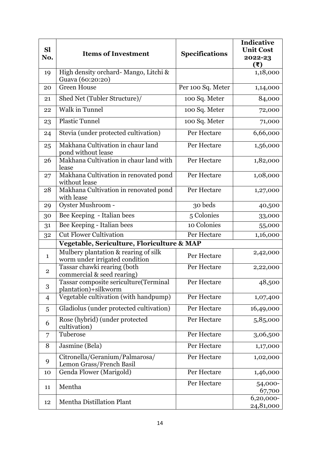| <b>Sl</b><br>No. | <b>Items of Investment</b>                                             | <b>Specifications</b> | <b>Indicative</b><br><b>Unit Cost</b><br>2022-23<br>(₹) |
|------------------|------------------------------------------------------------------------|-----------------------|---------------------------------------------------------|
| 19               | High density orchard- Mango, Litchi &<br>Guava (60:20:20)              |                       | 1,18,000                                                |
| 20               | <b>Green House</b>                                                     | Per 100 Sq. Meter     | 1,14,000                                                |
| 21               | Shed Net (Tubler Structure)/                                           | 100 Sq. Meter         | 84,000                                                  |
| 22               | <b>Walk in Tunnel</b>                                                  | 100 Sq. Meter         | 72,000                                                  |
| 23               | <b>Plastic Tunnel</b>                                                  | 100 Sq. Meter         | 71,000                                                  |
| 24               | Stevia (under protected cultivation)                                   | Per Hectare           | 6,66,000                                                |
| 25               | Makhana Cultivation in chaur land<br>pond without lease                | Per Hectare           | 1,56,000                                                |
| 26               | Makhana Cultivation in chaur land with<br>lease                        | Per Hectare           | 1,82,000                                                |
| 27               | Makhana Cultivation in renovated pond<br>without lease                 | Per Hectare           | 1,08,000                                                |
| 28               | Makhana Cultivation in renovated pond<br>with lease                    | Per Hectare           | 1,27,000                                                |
| 29               | Oyster Mushroom -                                                      | 30 beds               | 40,500                                                  |
| 30               | Bee Keeping - Italian bees                                             | 5 Colonies            | 33,000                                                  |
| 31               | Bee Keeping - Italian bees                                             | 10 Colonies           | 55,000                                                  |
| 32               | <b>Cut Flower Cultivation</b>                                          | Per Hectare           | 1,16,000                                                |
|                  | Vegetable, Sericulture, Floriculture & MAP                             |                       |                                                         |
| $\mathbf{1}$     | Mulbery plantation & rearing of silk<br>worm under irrigated condition | Per Hectare           | 2,42,000                                                |
| $\overline{2}$   | Tassar chawki rearing (both<br>commercial & seed rearing)              | Per Hectare           | 2,22,000                                                |
| 3                | Tassar composite sericulture(Terminal<br>plantation)+silkworm          | Per Hectare           | 48,500                                                  |
| 4                | Vegetable cultivation (with handpump)                                  | Per Hectare           | 1,07,400                                                |
| 5                | Gladiolus (under protected cultivation)                                | Per Hectare           | 16,49,000                                               |
| 6                | Rose (hybrid) (under protected<br>cultivation)                         | Per Hectare           | 5,85,000                                                |
| 7                | Tuberose                                                               | Per Hectare           | 3,06,500                                                |
| 8                | Jasmine (Bela)                                                         | Per Hectare           | 1,17,000                                                |
| 9                | Citronella/Geranium/Palmarosa/<br>Lemon Grass/French Basil             | Per Hectare           | 1,02,000                                                |
| 10               | Genda Flower (Marigold)                                                | Per Hectare           | 1,46,000                                                |
| 11               | Mentha                                                                 | Per Hectare           | 54,000-<br>67,700                                       |
| 12               | <b>Mentha Distillation Plant</b>                                       |                       | 6,20,000-<br>24,81,000                                  |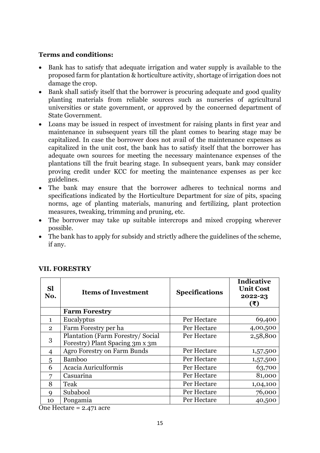- Bank has to satisfy that adequate irrigation and water supply is available to the proposed farm for plantation & horticulture activity, shortage of irrigation does not damage the crop.
- Bank shall satisfy itself that the borrower is procuring adequate and good quality planting materials from reliable sources such as nurseries of agricultural universities or state government, or approved by the concerned department of State Government.
- Loans may be issued in respect of investment for raising plants in first year and maintenance in subsequent years till the plant comes to bearing stage may be capitalized. In case the borrower does not avail of the maintenance expenses as capitalized in the unit cost, the bank has to satisfy itself that the borrower has adequate own sources for meeting the necessary maintenance expenses of the plantations till the fruit bearing stage. In subsequent years, bank may consider proving credit under KCC for meeting the maintenance expenses as per kcc guidelines.
- The bank may ensure that the borrower adheres to technical norms and specifications indicated by the Horticulture Department for size of pits, spacing norms, age of planting materials, manuring and fertilizing, plant protection measures, tweaking, trimming and pruning, etc.
- The borrower may take up suitable intercrops and mixed cropping wherever possible.
- The bank has to apply for subsidy and strictly adhere the guidelines of the scheme, if any.

| <b>Sl</b><br>No. | <b>Items of Investment</b>                                           | <b>Specifications</b> | <b>Indicative</b><br><b>Unit Cost</b><br>2022-23<br>(₹) |
|------------------|----------------------------------------------------------------------|-----------------------|---------------------------------------------------------|
|                  | <b>Farm Forestry</b>                                                 |                       |                                                         |
| $\mathbf{1}$     | Eucalyptus                                                           | Per Hectare           | 69,400                                                  |
| $\overline{2}$   | Farm Forestry per ha                                                 | Per Hectare           | 4,00,500                                                |
| 3                | Plantation (Farm Forestry/ Social<br>Forestry) Plant Spacing 3m x 3m | Per Hectare           | 2,58,800                                                |
| $\overline{4}$   | <b>Agro Forestry on Farm Bunds</b>                                   | Per Hectare           | 1,57,500                                                |
| 5                | <b>Bamboo</b>                                                        | Per Hectare           | 1,57,500                                                |
| 6                | Acacia Auriculformis                                                 | Per Hectare           | 63,700                                                  |
| 7                | Casuarina                                                            | Per Hectare           | 81,000                                                  |
| 8                | Teak                                                                 | Per Hectare           | 1,04,100                                                |
| $\mathbf Q$      | Subabool                                                             | Per Hectare           | 76,000                                                  |
| 10               | Pongamia                                                             | Per Hectare           | 40,500                                                  |

#### **VII. FORESTRY**

One Hectare = 2.471 acre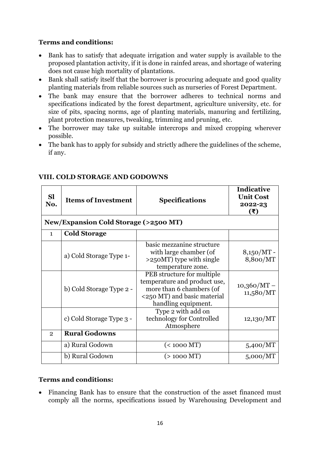- Bank has to satisfy that adequate irrigation and water supply is available to the proposed plantation activity, if it is done in rainfed areas, and shortage of watering does not cause high mortality of plantations.
- Bank shall satisfy itself that the borrower is procuring adequate and good quality planting materials from reliable sources such as nurseries of Forest Department.
- The bank may ensure that the borrower adheres to technical norms and specifications indicated by the forest department, agriculture university, etc. for size of pits, spacing norms, age of planting materials, manuring and fertilizing, plant protection measures, tweaking, trimming and pruning, etc.
- The borrower may take up suitable intercrops and mixed cropping wherever possible.
- The bank has to apply for subsidy and strictly adhere the guidelines of the scheme, if any.

| <b>Sl</b><br>No.                                | <b>Items of Investment</b> | <b>Specifications</b>                                                                                                                        | <b>Indicative</b><br><b>Unit Cost</b><br>2022-23<br>$(\bar{\mathbf{x}})$ |
|-------------------------------------------------|----------------------------|----------------------------------------------------------------------------------------------------------------------------------------------|--------------------------------------------------------------------------|
| <b>New/Expansion Cold Storage (&gt;2500 MT)</b> |                            |                                                                                                                                              |                                                                          |
| $\mathbf{1}$                                    | <b>Cold Storage</b>        |                                                                                                                                              |                                                                          |
|                                                 | a) Cold Storage Type 1-    | basic mezzanine structure<br>with large chamber (of<br>>250MT) type with single<br>temperature zone.                                         | $8,150/MT -$<br>8,800/MT                                                 |
|                                                 | b) Cold Storage Type 2 -   | PEB structure for multiple<br>temperature and product use,<br>more than 6 chambers (of<br><250 MT) and basic material<br>handling equipment. | $10,360/MT -$<br>11,580/MT                                               |
|                                                 | c) Cold Storage Type 3 -   | Type 2 with add on<br>technology for Controlled<br>Atmosphere                                                                                | 12,130/MT                                                                |
| $\overline{2}$                                  | <b>Rural Godowns</b>       |                                                                                                                                              |                                                                          |
|                                                 | a) Rural Godown            | $(< 1000$ MT)                                                                                                                                | 5,400/MT                                                                 |
|                                                 | b) Rural Godown            | $(> 1000$ MT)                                                                                                                                | 5,000/MT                                                                 |

# **VIII. COLD STORAGE AND GODOWNS**

#### **Terms and conditions:**

 Financing Bank has to ensure that the construction of the asset financed must comply all the norms, specifications issued by Warehousing Development and